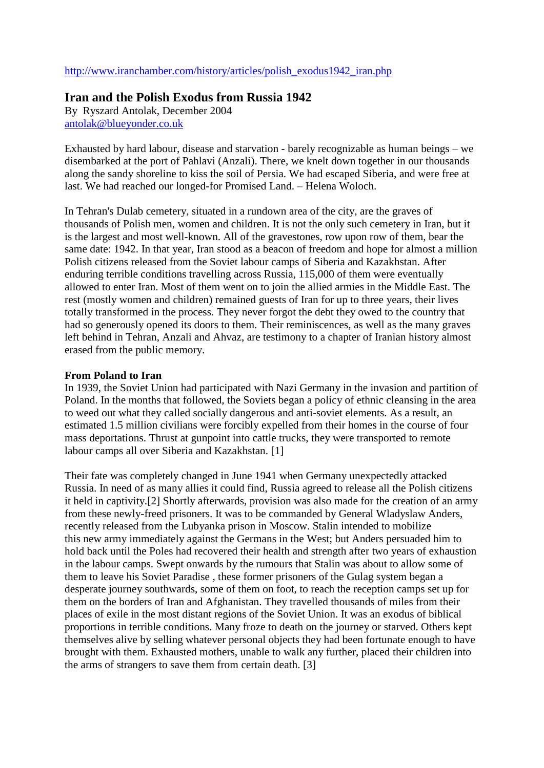## [http://www.iranchamber.com/history/articles/polish\\_exodus1942\\_iran.php](http://www.iranchamber.com/history/articles/polish_exodus1942_iran.php)

# **Iran and the Polish Exodus from Russia 1942**

By Ryszard Antolak, December 2004 [antolak@blueyonder.co.uk](mailto:antolak@blueyonder.co.uk)

Exhausted by hard labour, disease and starvation - barely recognizable as human beings – we disembarked at the port of Pahlavi (Anzali). There, we knelt down together in our thousands along the sandy shoreline to kiss the soil of Persia. We had escaped Siberia, and were free at last. We had reached our longed-for Promised Land. – Helena Woloch.

In Tehran's Dulab cemetery, situated in a rundown area of the city, are the graves of thousands of Polish men, women and children. It is not the only such cemetery in Iran, but it is the largest and most well-known. All of the gravestones, row upon row of them, bear the same date: 1942. In that year, Iran stood as a beacon of freedom and hope for almost a million Polish citizens released from the Soviet labour camps of Siberia and Kazakhstan. After enduring terrible conditions travelling across Russia, 115,000 of them were eventually allowed to enter Iran. Most of them went on to join the allied armies in the Middle East. The rest (mostly women and children) remained guests of Iran for up to three years, their lives totally transformed in the process. They never forgot the debt they owed to the country that had so generously opened its doors to them. Their reminiscences, as well as the many graves left behind in Tehran, Anzali and Ahvaz, are testimony to a chapter of Iranian history almost erased from the public memory.

#### **From Poland to Iran**

In 1939, the Soviet Union had participated with Nazi Germany in the invasion and partition of Poland. In the months that followed, the Soviets began a policy of ethnic cleansing in the area to weed out what they called socially dangerous and anti-soviet elements. As a result, an estimated 1.5 million civilians were forcibly expelled from their homes in the course of four mass deportations. Thrust at gunpoint into cattle trucks, they were transported to remote labour camps all over Siberia and Kazakhstan. [1]

Their fate was completely changed in June 1941 when Germany unexpectedly attacked Russia. In need of as many allies it could find, Russia agreed to release all the Polish citizens it held in captivity.[2] Shortly afterwards, provision was also made for the creation of an army from these newly-freed prisoners. It was to be commanded by General Wladyslaw Anders, recently released from the Lubyanka prison in Moscow. Stalin intended to mobilize this new army immediately against the Germans in the West; but Anders persuaded him to hold back until the Poles had recovered their health and strength after two years of exhaustion in the labour camps. Swept onwards by the rumours that Stalin was about to allow some of them to leave his Soviet Paradise , these former prisoners of the Gulag system began a desperate journey southwards, some of them on foot, to reach the reception camps set up for them on the borders of Iran and Afghanistan. They travelled thousands of miles from their places of exile in the most distant regions of the Soviet Union. It was an exodus of biblical proportions in terrible conditions. Many froze to death on the journey or starved. Others kept themselves alive by selling whatever personal objects they had been fortunate enough to have brought with them. Exhausted mothers, unable to walk any further, placed their children into the arms of strangers to save them from certain death. [3]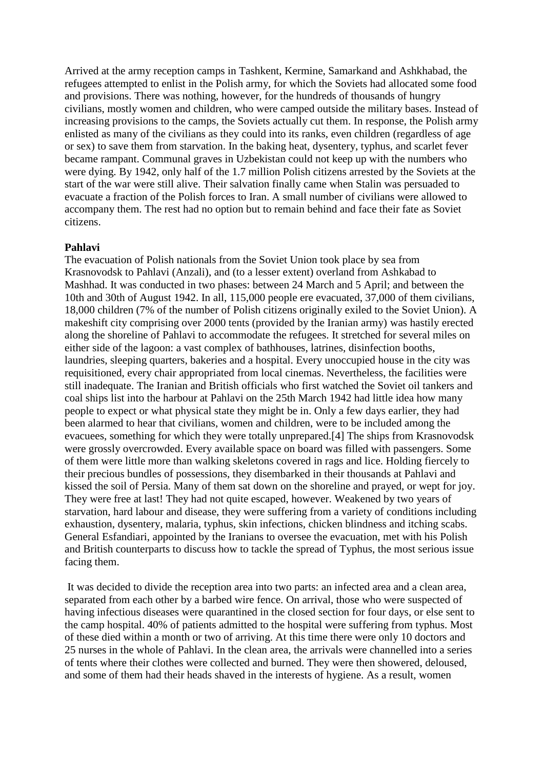Arrived at the army reception camps in Tashkent, Kermine, Samarkand and Ashkhabad, the refugees attempted to enlist in the Polish army, for which the Soviets had allocated some food and provisions. There was nothing, however, for the hundreds of thousands of hungry civilians, mostly women and children, who were camped outside the military bases. Instead of increasing provisions to the camps, the Soviets actually cut them. In response, the Polish army enlisted as many of the civilians as they could into its ranks, even children (regardless of age or sex) to save them from starvation. In the baking heat, dysentery, typhus, and scarlet fever became rampant. Communal graves in Uzbekistan could not keep up with the numbers who were dying. By 1942, only half of the 1.7 million Polish citizens arrested by the Soviets at the start of the war were still alive. Their salvation finally came when Stalin was persuaded to evacuate a fraction of the Polish forces to Iran. A small number of civilians were allowed to accompany them. The rest had no option but to remain behind and face their fate as Soviet citizens.

#### **Pahlavi**

The evacuation of Polish nationals from the Soviet Union took place by sea from Krasnovodsk to Pahlavi (Anzali), and (to a lesser extent) overland from Ashkabad to Mashhad. It was conducted in two phases: between 24 March and 5 April; and between the 10th and 30th of August 1942. In all, 115,000 people ere evacuated, 37,000 of them civilians, 18,000 children (7% of the number of Polish citizens originally exiled to the Soviet Union). A makeshift city comprising over 2000 tents (provided by the Iranian army) was hastily erected along the shoreline of Pahlavi to accommodate the refugees. It stretched for several miles on either side of the lagoon: a vast complex of bathhouses, latrines, disinfection booths, laundries, sleeping quarters, bakeries and a hospital. Every unoccupied house in the city was requisitioned, every chair appropriated from local cinemas. Nevertheless, the facilities were still inadequate. The Iranian and British officials who first watched the Soviet oil tankers and coal ships list into the harbour at Pahlavi on the 25th March 1942 had little idea how many people to expect or what physical state they might be in. Only a few days earlier, they had been alarmed to hear that civilians, women and children, were to be included among the evacuees, something for which they were totally unprepared.[4] The ships from Krasnovodsk were grossly overcrowded. Every available space on board was filled with passengers. Some of them were little more than walking skeletons covered in rags and lice. Holding fiercely to their precious bundles of possessions, they disembarked in their thousands at Pahlavi and kissed the soil of Persia. Many of them sat down on the shoreline and prayed, or wept for joy. They were free at last! They had not quite escaped, however. Weakened by two years of starvation, hard labour and disease, they were suffering from a variety of conditions including exhaustion, dysentery, malaria, typhus, skin infections, chicken blindness and itching scabs. General Esfandiari, appointed by the Iranians to oversee the evacuation, met with his Polish and British counterparts to discuss how to tackle the spread of Typhus, the most serious issue facing them.

It was decided to divide the reception area into two parts: an infected area and a clean area, separated from each other by a barbed wire fence. On arrival, those who were suspected of having infectious diseases were quarantined in the closed section for four days, or else sent to the camp hospital. 40% of patients admitted to the hospital were suffering from typhus. Most of these died within a month or two of arriving. At this time there were only 10 doctors and 25 nurses in the whole of Pahlavi. In the clean area, the arrivals were channelled into a series of tents where their clothes were collected and burned. They were then showered, deloused, and some of them had their heads shaved in the interests of hygiene. As a result, women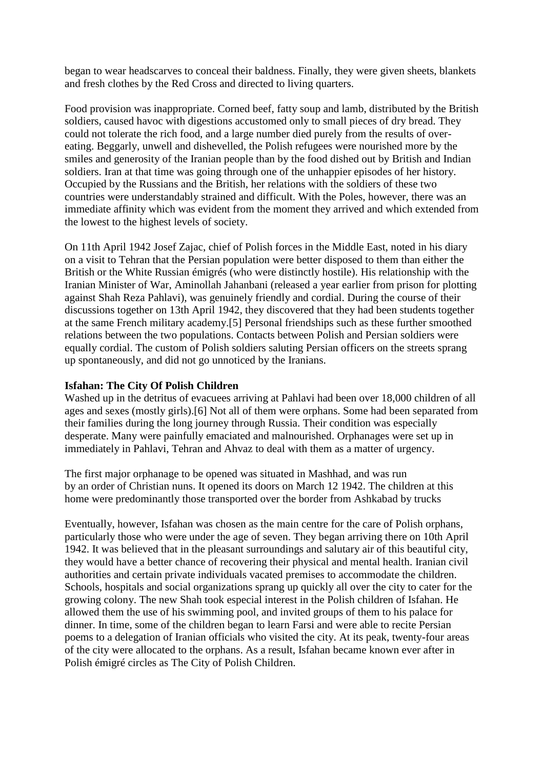began to wear headscarves to conceal their baldness. Finally, they were given sheets, blankets and fresh clothes by the Red Cross and directed to living quarters.

Food provision was inappropriate. Corned beef, fatty soup and lamb, distributed by the British soldiers, caused havoc with digestions accustomed only to small pieces of dry bread. They could not tolerate the rich food, and a large number died purely from the results of overeating. Beggarly, unwell and dishevelled, the Polish refugees were nourished more by the smiles and generosity of the Iranian people than by the food dished out by British and Indian soldiers. Iran at that time was going through one of the unhappier episodes of her history. Occupied by the Russians and the British, her relations with the soldiers of these two countries were understandably strained and difficult. With the Poles, however, there was an immediate affinity which was evident from the moment they arrived and which extended from the lowest to the highest levels of society.

On 11th April 1942 Josef Zajac, chief of Polish forces in the Middle East, noted in his diary on a visit to Tehran that the Persian population were better disposed to them than either the British or the White Russian émigrés (who were distinctly hostile). His relationship with the Iranian Minister of War, Aminollah Jahanbani (released a year earlier from prison for plotting against Shah Reza Pahlavi), was genuinely friendly and cordial. During the course of their discussions together on 13th April 1942, they discovered that they had been students together at the same French military academy.[5] Personal friendships such as these further smoothed relations between the two populations. Contacts between Polish and Persian soldiers were equally cordial. The custom of Polish soldiers saluting Persian officers on the streets sprang up spontaneously, and did not go unnoticed by the Iranians.

## **Isfahan: The City Of Polish Children**

Washed up in the detritus of evacuees arriving at Pahlavi had been over 18,000 children of all ages and sexes (mostly girls).[6] Not all of them were orphans. Some had been separated from their families during the long journey through Russia. Their condition was especially desperate. Many were painfully emaciated and malnourished. Orphanages were set up in immediately in Pahlavi, Tehran and Ahvaz to deal with them as a matter of urgency.

The first major orphanage to be opened was situated in Mashhad, and was run by an order of Christian nuns. It opened its doors on March 12 1942. The children at this home were predominantly those transported over the border from Ashkabad by trucks

Eventually, however, Isfahan was chosen as the main centre for the care of Polish orphans, particularly those who were under the age of seven. They began arriving there on 10th April 1942. It was believed that in the pleasant surroundings and salutary air of this beautiful city, they would have a better chance of recovering their physical and mental health. Iranian civil authorities and certain private individuals vacated premises to accommodate the children. Schools, hospitals and social organizations sprang up quickly all over the city to cater for the growing colony. The new Shah took especial interest in the Polish children of Isfahan. He allowed them the use of his swimming pool, and invited groups of them to his palace for dinner. In time, some of the children began to learn Farsi and were able to recite Persian poems to a delegation of Iranian officials who visited the city. At its peak, twenty-four areas of the city were allocated to the orphans. As a result, Isfahan became known ever after in Polish émigré circles as The City of Polish Children.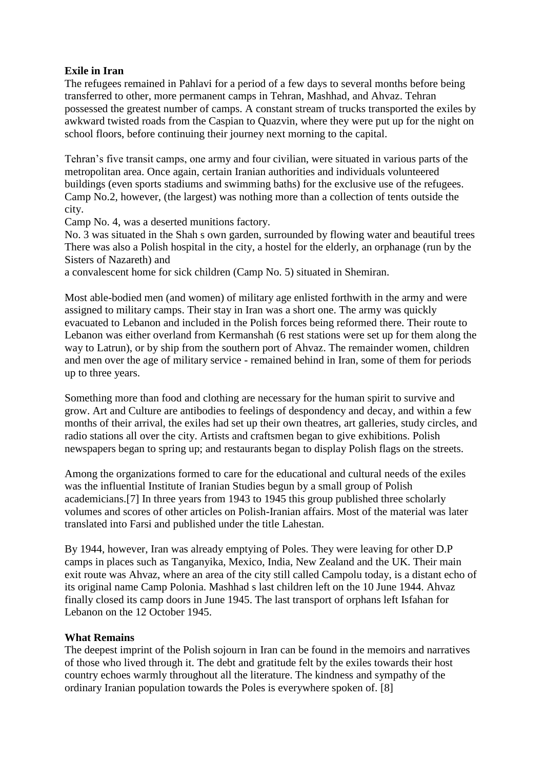## **Exile in Iran**

The refugees remained in Pahlavi for a period of a few days to several months before being transferred to other, more permanent camps in Tehran, Mashhad, and Ahvaz. Tehran possessed the greatest number of camps. A constant stream of trucks transported the exiles by awkward twisted roads from the Caspian to Quazvin, where they were put up for the night on school floors, before continuing their journey next morning to the capital.

Tehran's five transit camps, one army and four civilian, were situated in various parts of the metropolitan area. Once again, certain Iranian authorities and individuals volunteered buildings (even sports stadiums and swimming baths) for the exclusive use of the refugees. Camp No.2, however, (the largest) was nothing more than a collection of tents outside the city.

Camp No. 4, was a deserted munitions factory.

No. 3 was situated in the Shah s own garden, surrounded by flowing water and beautiful trees There was also a Polish hospital in the city, a hostel for the elderly, an orphanage (run by the Sisters of Nazareth) and

a convalescent home for sick children (Camp No. 5) situated in Shemiran.

Most able-bodied men (and women) of military age enlisted forthwith in the army and were assigned to military camps. Their stay in Iran was a short one. The army was quickly evacuated to Lebanon and included in the Polish forces being reformed there. Their route to Lebanon was either overland from Kermanshah (6 rest stations were set up for them along the way to Latrun), or by ship from the southern port of Ahvaz. The remainder women, children and men over the age of military service - remained behind in Iran, some of them for periods up to three years.

Something more than food and clothing are necessary for the human spirit to survive and grow. Art and Culture are antibodies to feelings of despondency and decay, and within a few months of their arrival, the exiles had set up their own theatres, art galleries, study circles, and radio stations all over the city. Artists and craftsmen began to give exhibitions. Polish newspapers began to spring up; and restaurants began to display Polish flags on the streets.

Among the organizations formed to care for the educational and cultural needs of the exiles was the influential Institute of Iranian Studies begun by a small group of Polish academicians.[7] In three years from 1943 to 1945 this group published three scholarly volumes and scores of other articles on Polish-Iranian affairs. Most of the material was later translated into Farsi and published under the title Lahestan.

By 1944, however, Iran was already emptying of Poles. They were leaving for other D.P camps in places such as Tanganyika, Mexico, India, New Zealand and the UK. Their main exit route was Ahvaz, where an area of the city still called Campolu today, is a distant echo of its original name Camp Polonia. Mashhad s last children left on the 10 June 1944. Ahvaz finally closed its camp doors in June 1945. The last transport of orphans left Isfahan for Lebanon on the 12 October 1945.

## **What Remains**

The deepest imprint of the Polish sojourn in Iran can be found in the memoirs and narratives of those who lived through it. The debt and gratitude felt by the exiles towards their host country echoes warmly throughout all the literature. The kindness and sympathy of the ordinary Iranian population towards the Poles is everywhere spoken of. [8]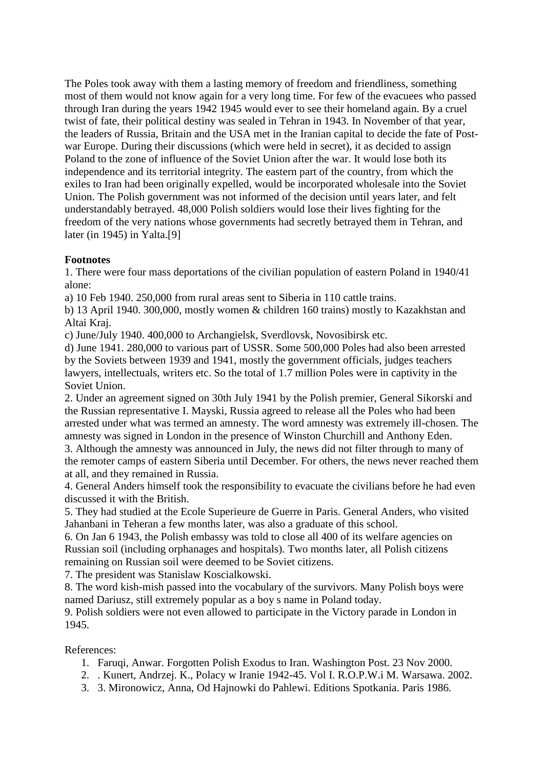The Poles took away with them a lasting memory of freedom and friendliness, something most of them would not know again for a very long time. For few of the evacuees who passed through Iran during the years 1942 1945 would ever to see their homeland again. By a cruel twist of fate, their political destiny was sealed in Tehran in 1943. In November of that year, the leaders of Russia, Britain and the USA met in the Iranian capital to decide the fate of Postwar Europe. During their discussions (which were held in secret), it as decided to assign Poland to the zone of influence of the Soviet Union after the war. It would lose both its independence and its territorial integrity. The eastern part of the country, from which the exiles to Iran had been originally expelled, would be incorporated wholesale into the Soviet Union. The Polish government was not informed of the decision until years later, and felt understandably betrayed. 48,000 Polish soldiers would lose their lives fighting for the freedom of the very nations whose governments had secretly betrayed them in Tehran, and later (in 1945) in Yalta.[9]

## **Footnotes**

1. There were four mass deportations of the civilian population of eastern Poland in 1940/41 alone:

a) 10 Feb 1940. 250,000 from rural areas sent to Siberia in 110 cattle trains.

b) 13 April 1940. 300,000, mostly women & children 160 trains) mostly to Kazakhstan and Altai Kraj.

c) June/July 1940. 400,000 to Archangielsk, Sverdlovsk, Novosibirsk etc.

d) June 1941. 280,000 to various part of USSR. Some 500,000 Poles had also been arrested by the Soviets between 1939 and 1941, mostly the government officials, judges teachers lawyers, intellectuals, writers etc. So the total of 1.7 million Poles were in captivity in the Soviet Union.

2. Under an agreement signed on 30th July 1941 by the Polish premier, General Sikorski and the Russian representative I. Mayski, Russia agreed to release all the Poles who had been arrested under what was termed an amnesty. The word amnesty was extremely ill-chosen. The amnesty was signed in London in the presence of Winston Churchill and Anthony Eden.

3. Although the amnesty was announced in July, the news did not filter through to many of the remoter camps of eastern Siberia until December. For others, the news never reached them at all, and they remained in Russia.

4. General Anders himself took the responsibility to evacuate the civilians before he had even discussed it with the British.

5. They had studied at the Ecole Superieure de Guerre in Paris. General Anders, who visited Jahanbani in Teheran a few months later, was also a graduate of this school.

6. On Jan 6 1943, the Polish embassy was told to close all 400 of its welfare agencies on Russian soil (including orphanages and hospitals). Two months later, all Polish citizens remaining on Russian soil were deemed to be Soviet citizens.

7. The president was Stanislaw Koscialkowski.

8. The word kish-mish passed into the vocabulary of the survivors. Many Polish boys were named Dariusz, still extremely popular as a boy s name in Poland today.

9. Polish soldiers were not even allowed to participate in the Victory parade in London in 1945.

References:

- 1. Faruqi, Anwar. Forgotten Polish Exodus to Iran. Washington Post. 23 Nov 2000.
- 2. . Kunert, Andrzej. K., Polacy w Iranie 1942-45. Vol I. R.O.P.W.i M. Warsawa. 2002.
- 3. 3. Mironowicz, Anna, Od Hajnowki do Pahlewi. Editions Spotkania. Paris 1986.